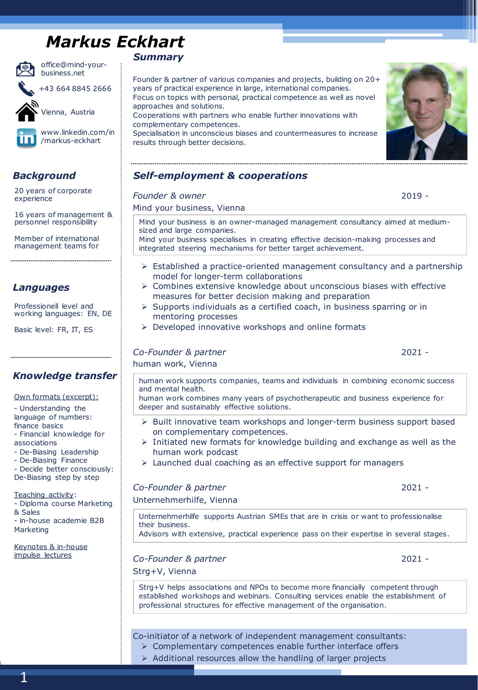# *Markus Eckhart*



office@mind-yourbusiness.net

+43 664 8845 2666



Vienna, Austria



www.linkedin.com/in /markus-eckhart

20 years of corporate experience

16 years of management & personnel responsibility

Member of international management teams for

### *Languages* ➢

Professionell level and working languages: EN, DE

Basic level: FR, IT, ES

### *Knowledge transfer*

Own formats (excerpt):

- Understanding the language of numbers: finance basics

- Financial knowledge for

associations

- De-Biasing Leadership

- De-Biasing Finance

- Decide better consciously: De-Biasing step by step

Teaching activity:

- Diploma course Marketing & Sales

- in-house academie B2B Marketing

Keynotes & in-house impulse lectures

### *Summary*

Founder & partner of various companies and projects, building on 20+ years of practical experience in large, international companies. Focus on topics with personal, practical competence as well as novel approaches and solutions. Cooperations with partners who enable further innovations with

complementary competences. Specialisation in unconscious biases and countermeasures to increase results through better decisions.



### *Background Self-employment & cooperations*

### *Founder & owner* 2019 - Mind your business, Vienna Mind your business is an owner-managed management consultancy aimed at mediumsized and large companies. Mind your business specialises in creating effective decision-making processes and integrated steering mechanisms for better target achievement. ➢ Established a practice-oriented management consultancy and a partnership model for longer-term collaborations  $\triangleright$  Combines extensive knowledge about unconscious biases with effective measures for better decision making and preparation ➢ Supports individuals as a certified coach, in business sparring or in mentoring processes ➢ Developed innovative workshops and online formats *Co-Founder & partner* 2021 - human work, Vienna human work supports companies, teams and individuals in combining economic success and mental health. human work combines many years of psychotherapeutic and business experience for deeper and sustainably effective solutions. ➢ Built innovative team workshops and longer-term business support based on complementary competences. ➢ Initiated new formats for knowledge building and exchange as well as the human work podcast ➢ Launched dual coaching as an effective support for managers *Co-Founder & partner* 2021 - Unternehmerhilfe, Vienna Unternehmerhilfe supports Austrian SMEs that are in crisis or want to professionalise their business. Advisors with extensive, practical experience pass on their expertise in several stages. *Co-Founder & partner* 2021 - Strg+V, Vienna Strg+V helps associations and NPOs to become more financially competent through established workshops and webinars. Consulting services enable the establishment of

Co-initiator of a network of independent management consultants:

➢ Complementary competences enable further interface offers

professional structures for effective management of the organisation.

➢ Additional resources allow the handling of larger projects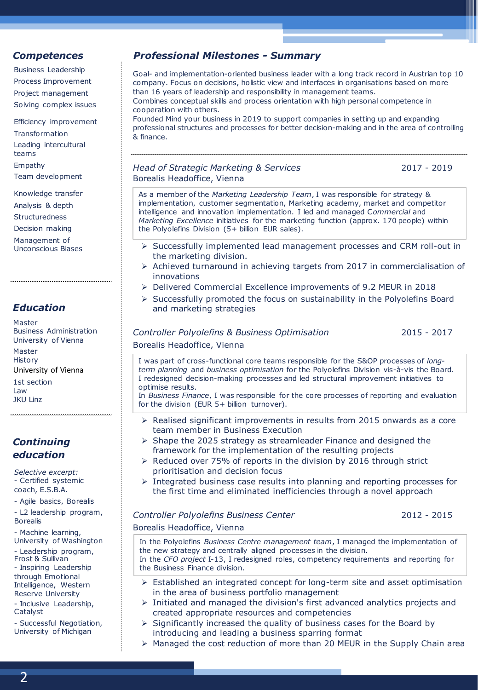Business Leadership Process Improvement Project management Solving complex issues

Efficiency improvement **Transformation** Leading intercultural teams Empathy Team development

Knowledge transfer Analysis & depth **Structuredness** Decision making Management of Unconscious Biases

### *Education*

Master Business Administration University of Vienna Master **History** University of Vienna 1st section

Law JKU Linz

### *Continuing education*

*Selective excerpt:* - Certified systemic coach, E.S.B.A.

- Agile basics, Borealis

- L2 leadership program, Borealis

- Machine learning, University of Washington

- Leadership program, Frost & Sullivan

- Inspiring Leadership through Emotional

Intelligence, Western Reserve University

- Inclusive Leadership,

Catalyst

- Successful Negotiation, University of Michigan

### *Competences Professional Milestones - Summary*

Goal- and implementation-oriented business leader with a long track record in Austrian top 10 company. Focus on decisions, holistic view and interfaces in organisations based on more than 16 years of leadership and responsibility in management teams. Combines conceptual skills and process orientation with high personal competence in cooperation with others. Founded Mind your business in 2019 to support companies in setting up and expanding professional structures and processes for better decision-making and in the area of controlling & finance.

*Head of Strategic Marketing & Services* 2017 - 2019 Borealis Headoffice, Vienna

As a member of the *Marketing Leadership Team*, I was responsible for strategy & implementation, customer segmentation, Marketing academy, market and competitor intelligence and innovation implementation. I led and managed C*ommercial* and *Marketing Excellence* initiatives for the marketing function (approx. 170 people) within the Polyolefins Division (5+ billion EUR sales).

- ➢ Successfully implemented lead management processes and CRM roll-out in the marketing division.
- ➢ Achieved turnaround in achieving targets from 2017 in commercialisation of innovations
- ➢ Delivered Commercial Excellence improvements of 9.2 MEUR in 2018
- ➢ Successfully promoted the focus on sustainability in the Polyolefins Board and marketing strategies

| Controller Polyolefins & Business Optimisatio |
|-----------------------------------------------|
| Borealis Headoffice, Vienna                   |

*Controller Polyolefins & Business Optimisation* 2015 - 2017

I was part of cross-functional core teams responsible for the S&OP processes of *longterm planning* and *business optimisation* for the Polyolefins Division vis-à-vis the Board. I redesigned decision-making processes and led structural improvement initiatives to optimise results.

In *Business Finance*, I was responsible for the core processes of reporting and evaluation for the division (EUR 5+ billion turnover).

- ➢ Realised significant improvements in results from 2015 onwards as a core team member in Business Execution
- ➢ Shape the 2025 strategy as streamleader Finance and designed the framework for the implementation of the resulting projects
- ➢ Reduced over 75% of reports in the division by 2016 through strict prioritisation and decision focus
- ➢ Integrated business case results into planning and reporting processes for the first time and eliminated inefficiencies through a novel approach

## *Controller Polyolefins Business Center* 2012 - 2015

Borealis Headoffice, Vienna

In the Polyolefins *Business Centre management team*, I managed the implementation of the new strategy and centrally aligned processes in the division. In the *CFO project* I-13, I redesigned roles, competency requirements and reporting for the Business Finance division.

- ➢ Established an integrated concept for long-term site and asset optimisation in the area of business portfolio management
- ➢ Initiated and managed the division's first advanced analytics projects and created appropriate resources and competencies
- ➢ Significantly increased the quality of business cases for the Board by introducing and leading a business sparring format
- ➢ Managed the cost reduction of more than 20 MEUR in the Supply Chain area